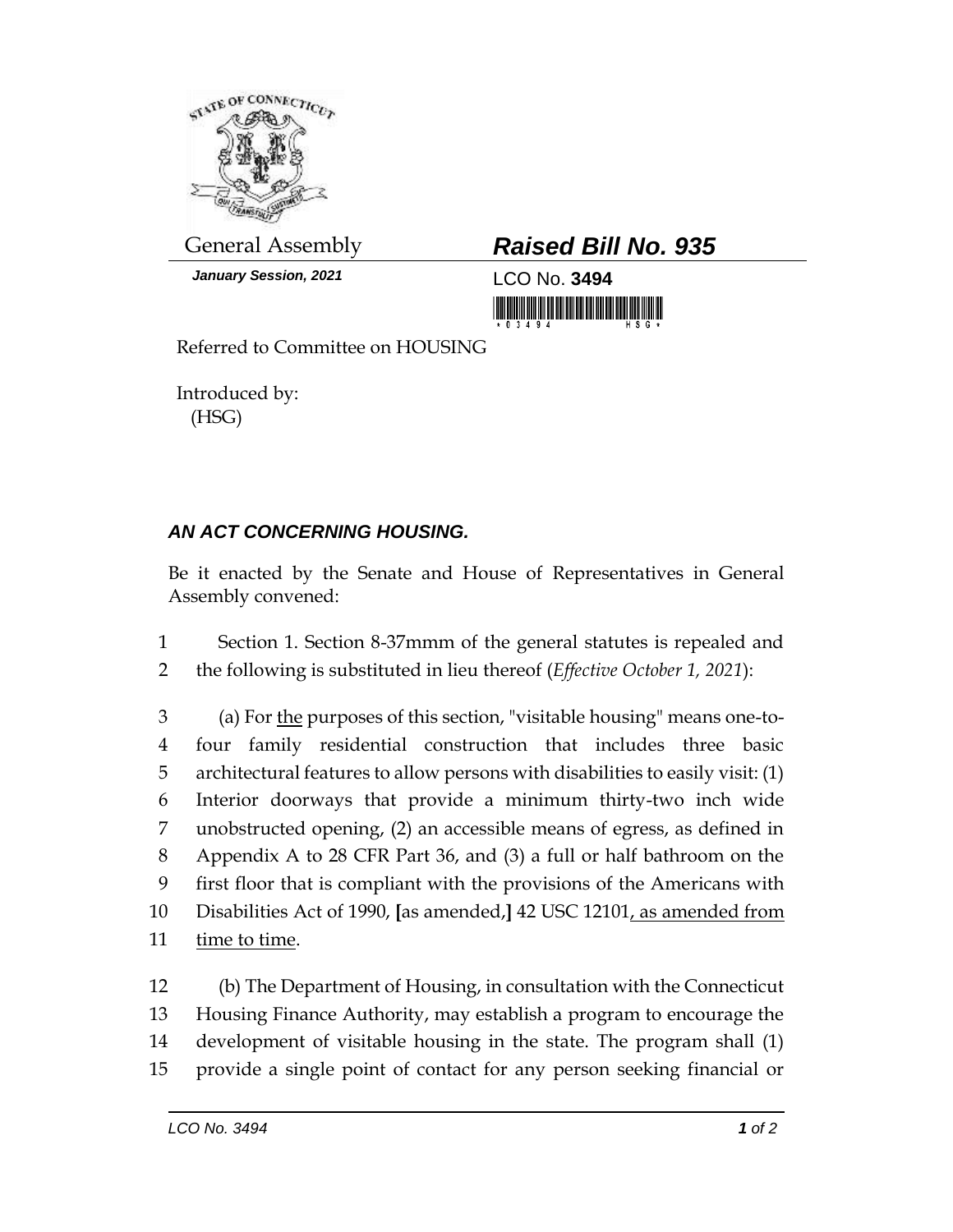

*January Session, 2021* LCO No. **3494**

## General Assembly *Raised Bill No. 935*

<u> III di kacamatan ing Kabupatèn III di Kabupatèn III di Kabupatèn III di Kabupatèn III di Kabupatèn III di Ka</u>

Referred to Committee on HOUSING

Introduced by: (HSG)

## *AN ACT CONCERNING HOUSING.*

Be it enacted by the Senate and House of Representatives in General Assembly convened:

1 Section 1. Section 8-37mmm of the general statutes is repealed and 2 the following is substituted in lieu thereof (*Effective October 1, 2021*):

 (a) For the purposes of this section, "visitable housing" means one-to- four family residential construction that includes three basic architectural features to allow persons with disabilities to easily visit: (1) Interior doorways that provide a minimum thirty-two inch wide unobstructed opening, (2) an accessible means of egress, as defined in Appendix A to 28 CFR Part 36, and (3) a full or half bathroom on the first floor that is compliant with the provisions of the Americans with Disabilities Act of 1990, **[**as amended,**]** 42 USC 12101, as amended from time to time.

 (b) The Department of Housing, in consultation with the Connecticut Housing Finance Authority, may establish a program to encourage the development of visitable housing in the state. The program shall (1) provide a single point of contact for any person seeking financial or